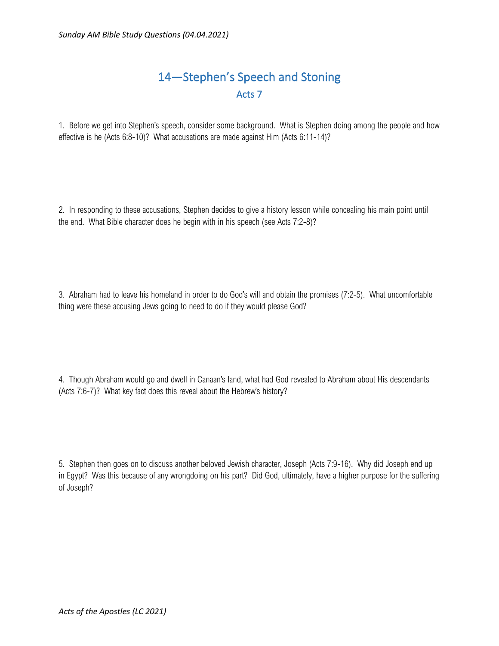## 14—Stephen's Speech and Stoning Acts 7

1. Before we get into Stephen's speech, consider some background. What is Stephen doing among the people and how effective is he (Acts 6:8-10)? What accusations are made against Him (Acts 6:11-14)?

2. In responding to these accusations, Stephen decides to give a history lesson while concealing his main point until the end. What Bible character does he begin with in his speech (see Acts 7:2-8)?

3. Abraham had to leave his homeland in order to do God's will and obtain the promises (7:2-5). What uncomfortable thing were these accusing Jews going to need to do if they would please God?

4. Though Abraham would go and dwell in Canaan's land, what had God revealed to Abraham about His descendants (Acts 7:6-7)? What key fact does this reveal about the Hebrew's history?

5. Stephen then goes on to discuss another beloved Jewish character, Joseph (Acts 7:9-16). Why did Joseph end up in Egypt? Was this because of any wrongdoing on his part? Did God, ultimately, have a higher purpose for the suffering of Joseph?